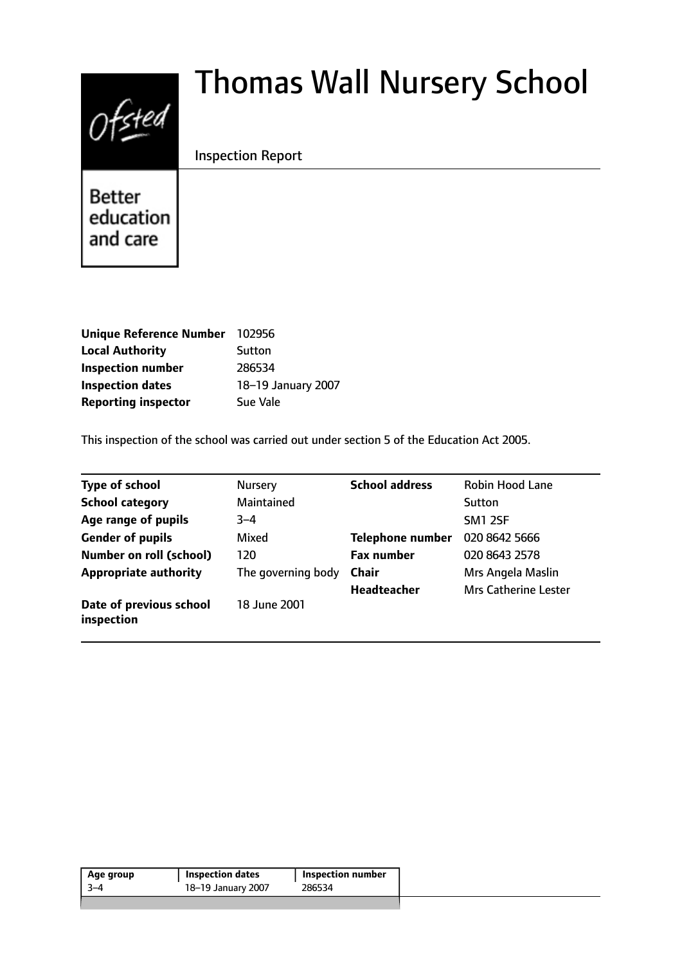# $0$ fsted

# Thomas Wall Nursery School

# Inspection Report

**Better** education and care

| <b>Unique Reference Number</b> | 102956             |
|--------------------------------|--------------------|
| <b>Local Authority</b>         | Sutton             |
| <b>Inspection number</b>       | 286534             |
| <b>Inspection dates</b>        | 18-19 January 2007 |
| <b>Reporting inspector</b>     | Sue Vale           |

This inspection of the school was carried out under section 5 of the Education Act 2005.

| <b>Type of school</b>                 | <b>Nursery</b>     | <b>School address</b>   | Robin Hood Lane             |
|---------------------------------------|--------------------|-------------------------|-----------------------------|
| <b>School category</b>                | Maintained         |                         | Sutton                      |
| Age range of pupils                   | $3 - 4$            |                         | <b>SM1 2SF</b>              |
| <b>Gender of pupils</b>               | Mixed              | <b>Telephone number</b> | 020 8642 5666               |
| <b>Number on roll (school)</b>        | 120                | <b>Fax number</b>       | 020 8643 2578               |
| <b>Appropriate authority</b>          | The governing body | <b>Chair</b>            | Mrs Angela Maslin           |
|                                       |                    | <b>Headteacher</b>      | <b>Mrs Catherine Lester</b> |
| Date of previous school<br>inspection | 18 June 2001       |                         |                             |

| 286534<br>18-19 January 2007<br>-3–4 | Age group | <b>Inspection dates</b> | <b>Inspection number</b> |
|--------------------------------------|-----------|-------------------------|--------------------------|
|                                      |           |                         |                          |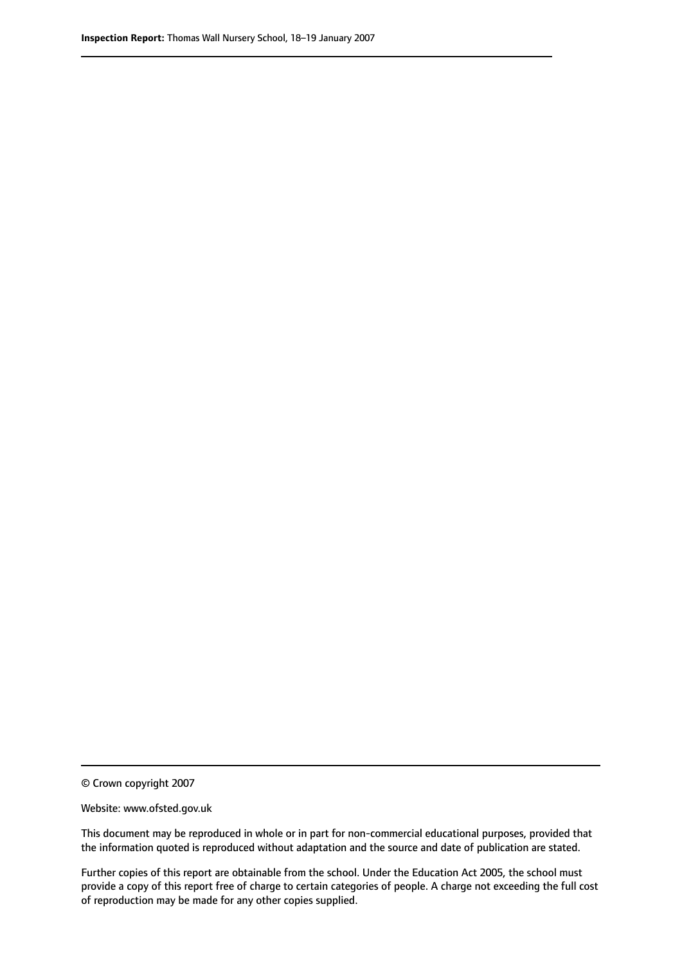© Crown copyright 2007

Website: www.ofsted.gov.uk

This document may be reproduced in whole or in part for non-commercial educational purposes, provided that the information quoted is reproduced without adaptation and the source and date of publication are stated.

Further copies of this report are obtainable from the school. Under the Education Act 2005, the school must provide a copy of this report free of charge to certain categories of people. A charge not exceeding the full cost of reproduction may be made for any other copies supplied.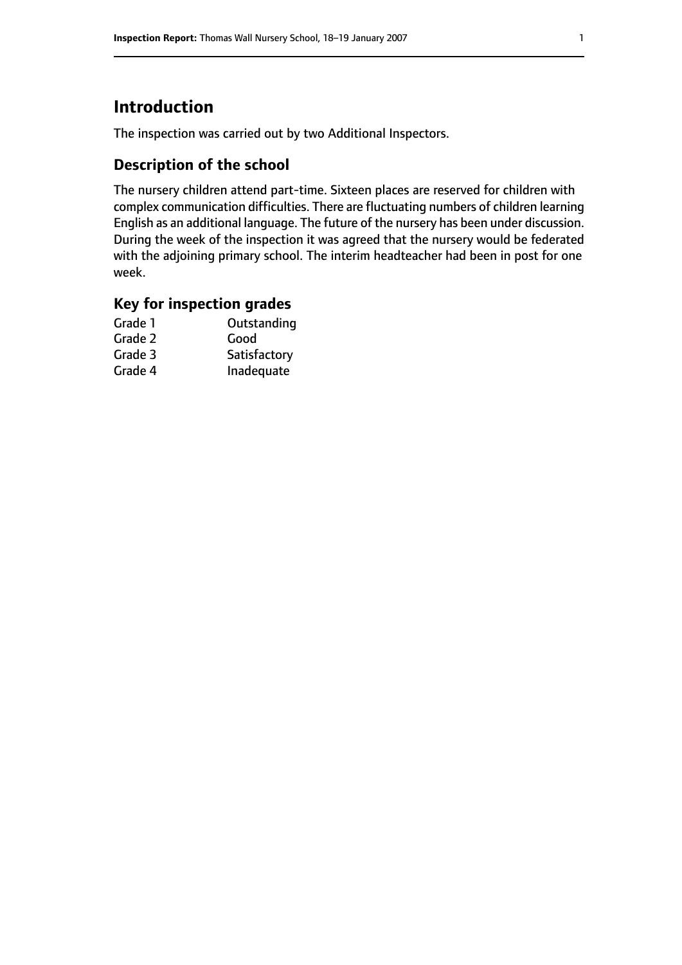# **Introduction**

The inspection was carried out by two Additional Inspectors.

# **Description of the school**

The nursery children attend part-time. Sixteen places are reserved for children with complex communication difficulties. There are fluctuating numbers of children learning English as an additional language. The future of the nursery has been under discussion. During the week of the inspection it was agreed that the nursery would be federated with the adjoining primary school. The interim headteacher had been in post for one week.

#### **Key for inspection grades**

| Grade 1 | Outstanding  |
|---------|--------------|
| Grade 2 | Good         |
| Grade 3 | Satisfactory |
| Grade 4 | Inadequate   |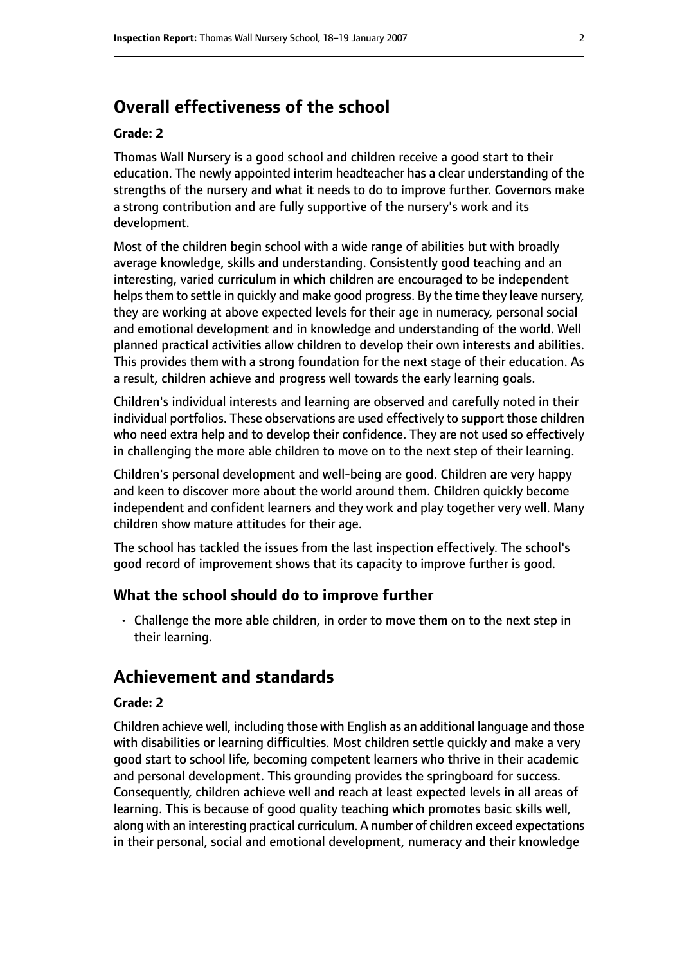# **Overall effectiveness of the school**

#### **Grade: 2**

Thomas Wall Nursery is a good school and children receive a good start to their education. The newly appointed interim headteacher has a clear understanding of the strengths of the nursery and what it needs to do to improve further. Governors make a strong contribution and are fully supportive of the nursery's work and its development.

Most of the children begin school with a wide range of abilities but with broadly average knowledge, skills and understanding. Consistently good teaching and an interesting, varied curriculum in which children are encouraged to be independent helps them to settle in quickly and make good progress. By the time they leave nursery, they are working at above expected levels for their age in numeracy, personal social and emotional development and in knowledge and understanding of the world. Well planned practical activities allow children to develop their own interests and abilities. This provides them with a strong foundation for the next stage of their education. As a result, children achieve and progress well towards the early learning goals.

Children's individual interests and learning are observed and carefully noted in their individual portfolios. These observations are used effectively to support those children who need extra help and to develop their confidence. They are not used so effectively in challenging the more able children to move on to the next step of their learning.

Children's personal development and well-being are good. Children are very happy and keen to discover more about the world around them. Children quickly become independent and confident learners and they work and play together very well. Many children show mature attitudes for their age.

The school has tackled the issues from the last inspection effectively. The school's good record of improvement shows that its capacity to improve further is good.

#### **What the school should do to improve further**

• Challenge the more able children, in order to move them on to the next step in their learning.

# **Achievement and standards**

#### **Grade: 2**

Children achieve well, including those with English as an additional language and those with disabilities or learning difficulties. Most children settle quickly and make a very good start to school life, becoming competent learners who thrive in their academic and personal development. This grounding provides the springboard for success. Consequently, children achieve well and reach at least expected levels in all areas of learning. This is because of good quality teaching which promotes basic skills well, along with an interesting practical curriculum. A number of children exceed expectations in their personal, social and emotional development, numeracy and their knowledge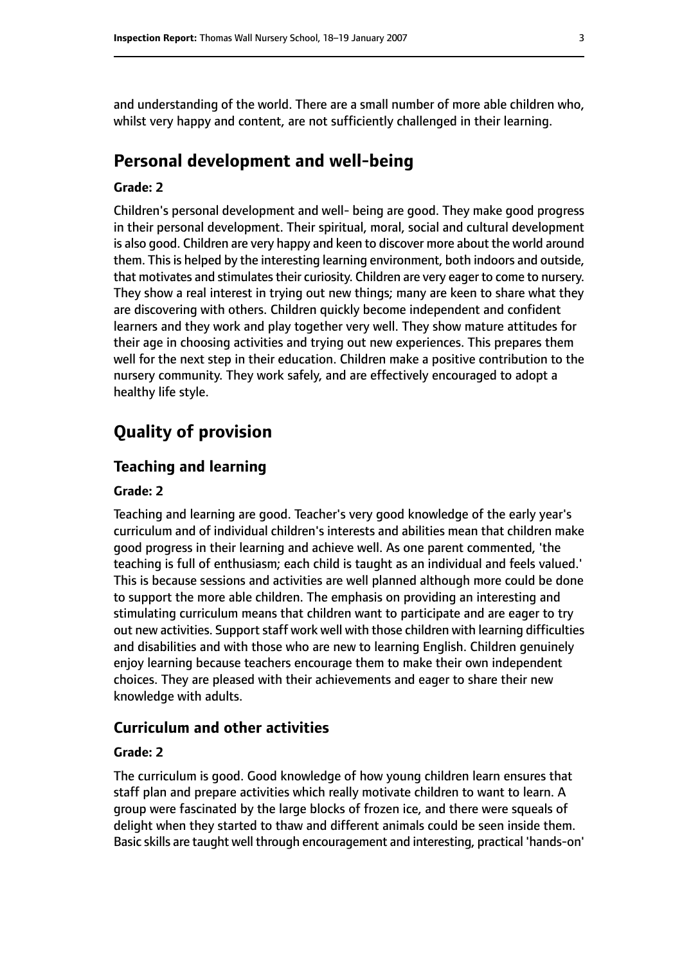and understanding of the world. There are a small number of more able children who, whilst very happy and content, are not sufficiently challenged in their learning.

# **Personal development and well-being**

#### **Grade: 2**

Children's personal development and well- being are good. They make good progress in their personal development. Their spiritual, moral, social and cultural development is also good. Children are very happy and keen to discover more about the world around them. This is helped by the interesting learning environment, both indoors and outside, that motivates and stimulates their curiosity. Children are very eager to come to nursery. They show a real interest in trying out new things; many are keen to share what they are discovering with others. Children quickly become independent and confident learners and they work and play together very well. They show mature attitudes for their age in choosing activities and trying out new experiences. This prepares them well for the next step in their education. Children make a positive contribution to the nursery community. They work safely, and are effectively encouraged to adopt a healthy life style.

# **Quality of provision**

#### **Teaching and learning**

#### **Grade: 2**

Teaching and learning are good. Teacher's very good knowledge of the early year's curriculum and of individual children's interests and abilities mean that children make good progress in their learning and achieve well. As one parent commented, 'the teaching is full of enthusiasm; each child is taught as an individual and feels valued.' This is because sessions and activities are well planned although more could be done to support the more able children. The emphasis on providing an interesting and stimulating curriculum means that children want to participate and are eager to try out new activities. Support staff work well with those children with learning difficulties and disabilities and with those who are new to learning English. Children genuinely enjoy learning because teachers encourage them to make their own independent choices. They are pleased with their achievements and eager to share their new knowledge with adults.

#### **Curriculum and other activities**

#### **Grade: 2**

The curriculum is good. Good knowledge of how young children learn ensures that staff plan and prepare activities which really motivate children to want to learn. A group were fascinated by the large blocks of frozen ice, and there were squeals of delight when they started to thaw and different animals could be seen inside them. Basic skills are taught well through encouragement and interesting, practical 'hands-on'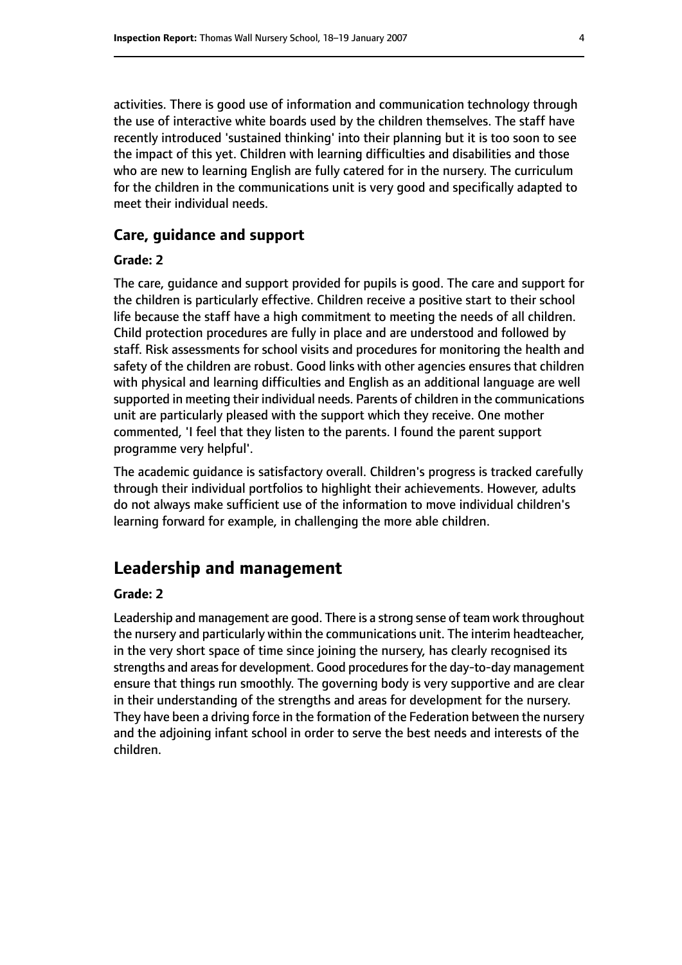activities. There is good use of information and communication technology through the use of interactive white boards used by the children themselves. The staff have recently introduced 'sustained thinking' into their planning but it is too soon to see the impact of this yet. Children with learning difficulties and disabilities and those who are new to learning English are fully catered for in the nursery. The curriculum for the children in the communications unit is very good and specifically adapted to meet their individual needs.

#### **Care, guidance and support**

#### **Grade: 2**

The care, guidance and support provided for pupils is good. The care and support for the children is particularly effective. Children receive a positive start to their school life because the staff have a high commitment to meeting the needs of all children. Child protection procedures are fully in place and are understood and followed by staff. Risk assessments for school visits and procedures for monitoring the health and safety of the children are robust. Good links with other agencies ensures that children with physical and learning difficulties and English as an additional language are well supported in meeting their individual needs. Parents of children in the communications unit are particularly pleased with the support which they receive. One mother commented, 'I feel that they listen to the parents. I found the parent support programme very helpful'.

The academic guidance is satisfactory overall. Children's progress is tracked carefully through their individual portfolios to highlight their achievements. However, adults do not always make sufficient use of the information to move individual children's learning forward for example, in challenging the more able children.

# **Leadership and management**

#### **Grade: 2**

Leadership and management are good. There is a strong sense of team work throughout the nursery and particularly within the communications unit. The interim headteacher, in the very short space of time since joining the nursery, has clearly recognised its strengths and areas for development. Good procedures for the day-to-day management ensure that things run smoothly. The governing body is very supportive and are clear in their understanding of the strengths and areas for development for the nursery. They have been a driving force in the formation of the Federation between the nursery and the adjoining infant school in order to serve the best needs and interests of the children.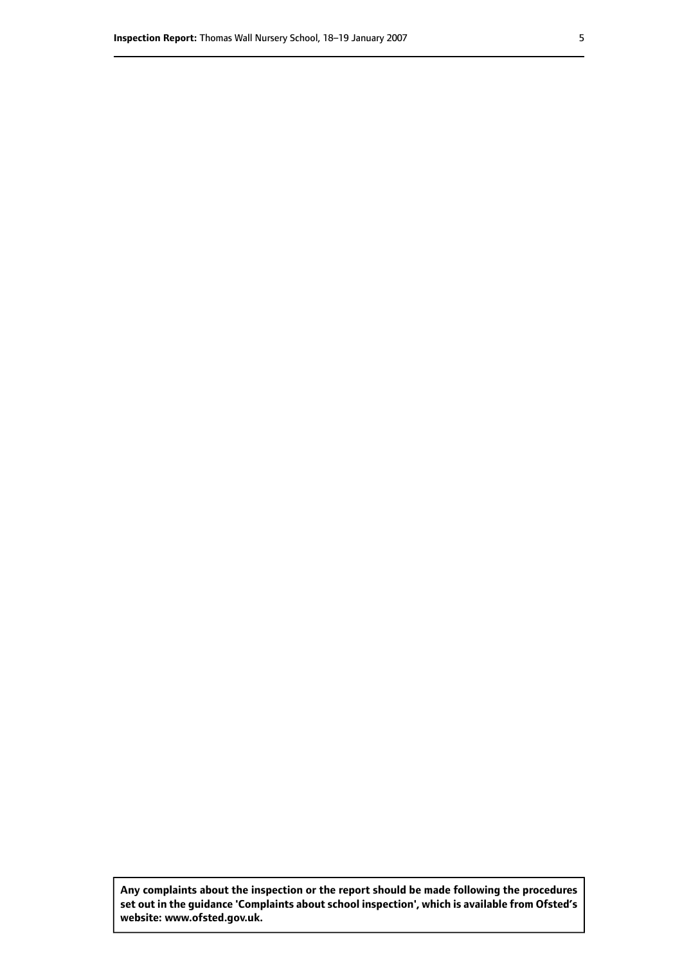**Any complaints about the inspection or the report should be made following the procedures set out inthe guidance 'Complaints about school inspection', whichis available from Ofsted's website: www.ofsted.gov.uk.**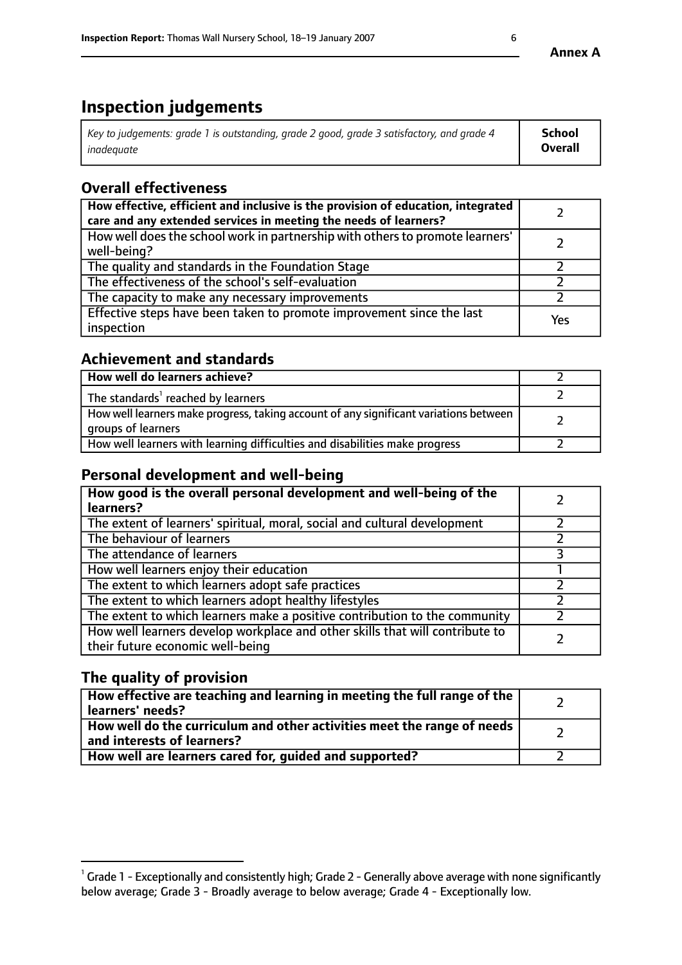# **Inspection judgements**

| Key to judgements: grade 1 is outstanding, grade 2 good, grade 3 satisfactory, and grade 4 | School         |
|--------------------------------------------------------------------------------------------|----------------|
| inadeauate                                                                                 | <b>Overall</b> |

# **Overall effectiveness**

| How effective, efficient and inclusive is the provision of education, integrated<br>care and any extended services in meeting the needs of learners? |     |
|------------------------------------------------------------------------------------------------------------------------------------------------------|-----|
| How well does the school work in partnership with others to promote learners'<br>well-being?                                                         |     |
| The quality and standards in the Foundation Stage                                                                                                    |     |
| The effectiveness of the school's self-evaluation                                                                                                    |     |
| The capacity to make any necessary improvements                                                                                                      |     |
| Effective steps have been taken to promote improvement since the last<br>inspection                                                                  | Yes |

### **Achievement and standards**

| How well do learners achieve?                                                                               |  |
|-------------------------------------------------------------------------------------------------------------|--|
| The standards <sup>1</sup> reached by learners                                                              |  |
| How well learners make progress, taking account of any significant variations between<br>groups of learners |  |
| How well learners with learning difficulties and disabilities make progress                                 |  |

# **Personal development and well-being**

| How good is the overall personal development and well-being of the<br>learners?                                  |  |
|------------------------------------------------------------------------------------------------------------------|--|
| The extent of learners' spiritual, moral, social and cultural development                                        |  |
| The behaviour of learners                                                                                        |  |
| The attendance of learners                                                                                       |  |
| How well learners enjoy their education                                                                          |  |
| The extent to which learners adopt safe practices                                                                |  |
| The extent to which learners adopt healthy lifestyles                                                            |  |
| The extent to which learners make a positive contribution to the community                                       |  |
| How well learners develop workplace and other skills that will contribute to<br>their future economic well-being |  |

# **The quality of provision**

| How effective are teaching and learning in meeting the full range of the<br>  learners' needs?                      |  |
|---------------------------------------------------------------------------------------------------------------------|--|
| $\mid$ How well do the curriculum and other activities meet the range of needs<br>$\mid$ and interests of learners? |  |
| How well are learners cared for, guided and supported?                                                              |  |

 $^1$  Grade 1 - Exceptionally and consistently high; Grade 2 - Generally above average with none significantly below average; Grade 3 - Broadly average to below average; Grade 4 - Exceptionally low.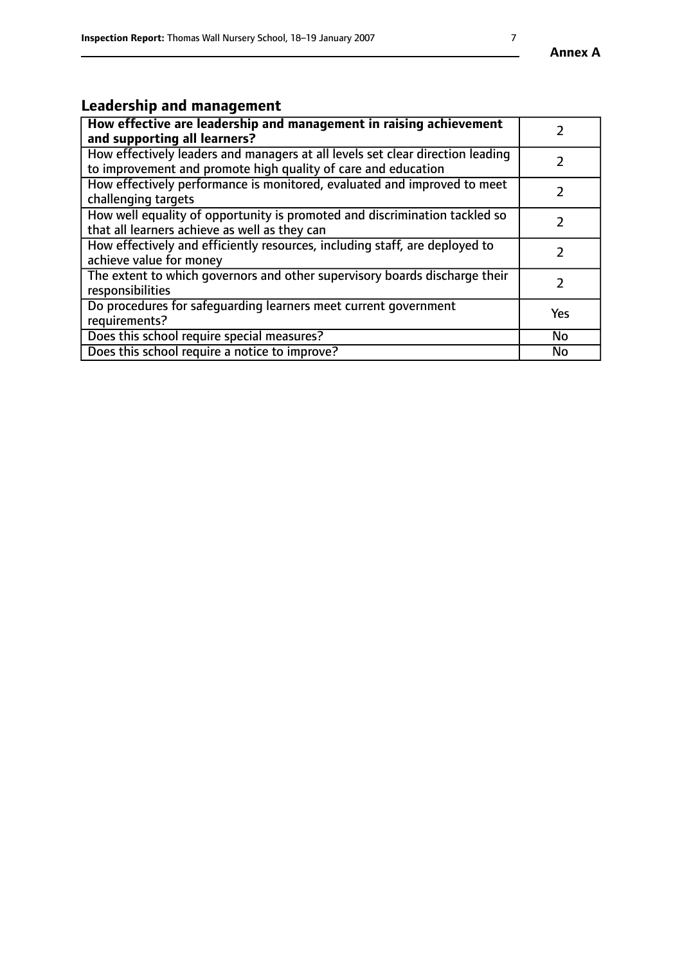# **Leadership and management**

| How effective are leadership and management in raising achievement<br>and supporting all learners?                                              |               |
|-------------------------------------------------------------------------------------------------------------------------------------------------|---------------|
| How effectively leaders and managers at all levels set clear direction leading<br>to improvement and promote high quality of care and education |               |
| How effectively performance is monitored, evaluated and improved to meet<br>challenging targets                                                 | $\mathcal{L}$ |
| How well equality of opportunity is promoted and discrimination tackled so<br>that all learners achieve as well as they can                     |               |
| How effectively and efficiently resources, including staff, are deployed to<br>achieve value for money                                          | $\mathcal{P}$ |
| The extent to which governors and other supervisory boards discharge their<br>responsibilities                                                  |               |
| Do procedures for safequarding learners meet current government<br>requirements?                                                                | Yes           |
| Does this school require special measures?                                                                                                      | No            |
| Does this school require a notice to improve?                                                                                                   | <b>No</b>     |